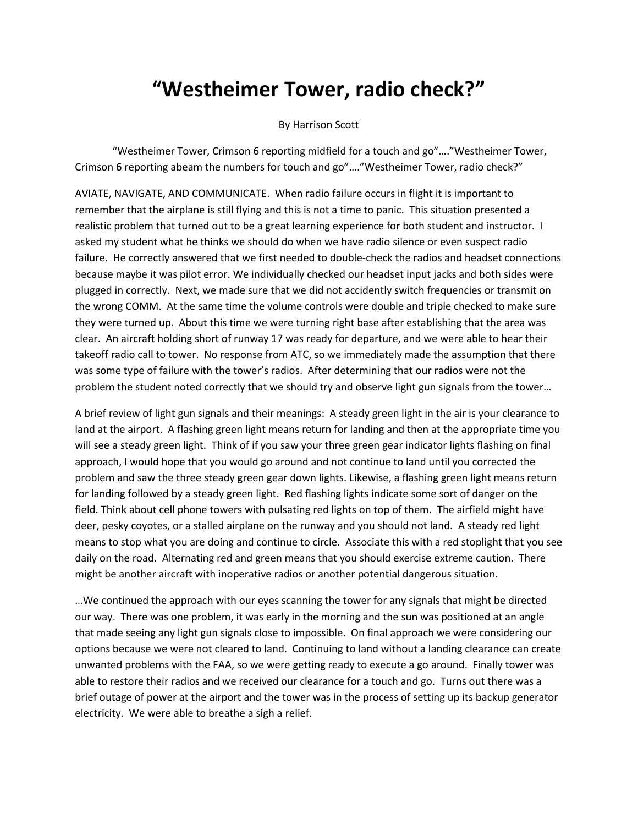## **"Westheimer Tower, radio check?"**

## By Harrison Scott

"Westheimer Tower, Crimson 6 reporting midfield for a touch and go"…."Westheimer Tower, Crimson 6 reporting abeam the numbers for touch and go"…."Westheimer Tower, radio check?"

AVIATE, NAVIGATE, AND COMMUNICATE. When radio failure occurs in flight it is important to remember that the airplane is still flying and this is not a time to panic. This situation presented a realistic problem that turned out to be a great learning experience for both student and instructor. I asked my student what he thinks we should do when we have radio silence or even suspect radio failure. He correctly answered that we first needed to double-check the radios and headset connections because maybe it was pilot error. We individually checked our headset input jacks and both sides were plugged in correctly. Next, we made sure that we did not accidently switch frequencies or transmit on the wrong COMM. At the same time the volume controls were double and triple checked to make sure they were turned up. About this time we were turning right base after establishing that the area was clear. An aircraft holding short of runway 17 was ready for departure, and we were able to hear their takeoff radio call to tower. No response from ATC, so we immediately made the assumption that there was some type of failure with the tower's radios. After determining that our radios were not the problem the student noted correctly that we should try and observe light gun signals from the tower…

A brief review of light gun signals and their meanings: A steady green light in the air is your clearance to land at the airport. A flashing green light means return for landing and then at the appropriate time you will see a steady green light. Think of if you saw your three green gear indicator lights flashing on final approach, I would hope that you would go around and not continue to land until you corrected the problem and saw the three steady green gear down lights. Likewise, a flashing green light means return for landing followed by a steady green light. Red flashing lights indicate some sort of danger on the field. Think about cell phone towers with pulsating red lights on top of them. The airfield might have deer, pesky coyotes, or a stalled airplane on the runway and you should not land. A steady red light means to stop what you are doing and continue to circle. Associate this with a red stoplight that you see daily on the road. Alternating red and green means that you should exercise extreme caution. There might be another aircraft with inoperative radios or another potential dangerous situation.

…We continued the approach with our eyes scanning the tower for any signals that might be directed our way. There was one problem, it was early in the morning and the sun was positioned at an angle that made seeing any light gun signals close to impossible. On final approach we were considering our options because we were not cleared to land. Continuing to land without a landing clearance can create unwanted problems with the FAA, so we were getting ready to execute a go around. Finally tower was able to restore their radios and we received our clearance for a touch and go. Turns out there was a brief outage of power at the airport and the tower was in the process of setting up its backup generator electricity. We were able to breathe a sigh a relief.